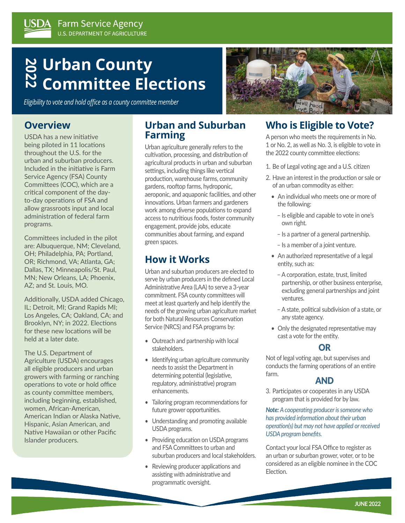# **2 Urban County<br>N Committee Fle Committee Elections**

*Eligibility to vote and hold office as a county committee member*

### **Overview**

USDA has a new initiative being piloted in 11 locations throughout the U.S. for the urban and suburban producers. Included in the initiative is Farm Service Agency (FSA) County Committees (COC), which are a critical component of the dayto-day operations of FSA and allow grassroots input and local administration of federal farm programs.

Committees included in the pilot are: Albuquerque, NM; Cleveland, OH; Philadelphia, PA; Portland, OR; Richmond, VA; Atlanta, GA; Dallas, TX; Minneapolis/St. Paul, MN; New Orleans, LA; Phoenix, AZ; and St. Louis, MO.

Additionally, USDA added Chicago, IL; Detroit, MI; Grand Rapids MI; Los Angeles, CA; Oakland, CA; and Brooklyn, NY; in 2022. Elections for these new locations will be held at a later date.

The U.S. Department of Agriculture (USDA) encourages all eligible producers and urban growers with farming or ranching operations to vote or hold office as county committee members, including beginning, established, women, African-American, American Indian or Alaska Native, Hispanic, Asian American, and Native Hawaiian or other Pacific Islander producers.

### **Urban and Suburban Farming**

Urban agriculture generally refers to the cultivation, processing, and distribution of agricultural products in urban and suburban settings, including things like vertical production, warehouse farms, community gardens, rooftop farms, hydroponic, aeroponic, and aquaponic facilities, and other innovations. Urban farmers and gardeners work among diverse populations to expand access to nutritious foods, foster community engagement, provide jobs, educate communities about farming, and expand green spaces.

### **How it Works**

Urban and suburban producers are elected to serve by urban producers in the defined Local Administrative Area (LAA) to serve a 3-year commitment. FSA county committees will meet at least quarterly and help identify the needs of the growing urban agriculture market for both Natural Resources Conservation Service (NRCS) and FSA programs by:

- Outreach and partnership with local stakeholders.
- Identifying urban agriculture community needs to assist the Department in determining potential (legislative, regulatory, administrative) program enhancements.
- Tailoring program recommendations for future grower opportunities.
- Understanding and promoting available USDA programs.
- Providing education on USDA programs and FSA Committees to urban and suburban producers and local stakeholders.
- Reviewing producer applications and assisting with administrative and programmatic oversight.

## **Who is Eligible to Vote?**

A person who meets the requirements in No. 1 or No. 2, as well as No. 3, is eligible to vote in the 2022 county committee elections:

- 1. Be of Legal voting age and a U.S. citizen
- 2. Have an interest in the production or sale or of an urban commodity as either:
	- An individual who meets one or more of the following:
		- Is eligible and capable to vote in one's own right.
		- Is a partner of a general partnership.
		- Is a member of a joint venture.
	- An authorized representative of a legal entity, such as:
		- A corporation, estate, trust, limited partnership, or other business enterprise, excluding general partnerships and joint ventures.
		- A state, political subdivision of a state, or any state agency.
	- Only the designated representative may cast a vote for the entity.

### OR

Not of legal voting age, but supervises and conducts the farming operations of an entire farm.

### AND

3. Participates or cooperates in any USDA program that is provided for by law.

*Note: A cooperating producer is someone who has provided information about their urban operation(s) but may not have applied or received USDA program benefits.*

Contact your local FSA Office to register as an urban or suburban grower, voter, or to be considered as an eligible nominee in the COC Election.